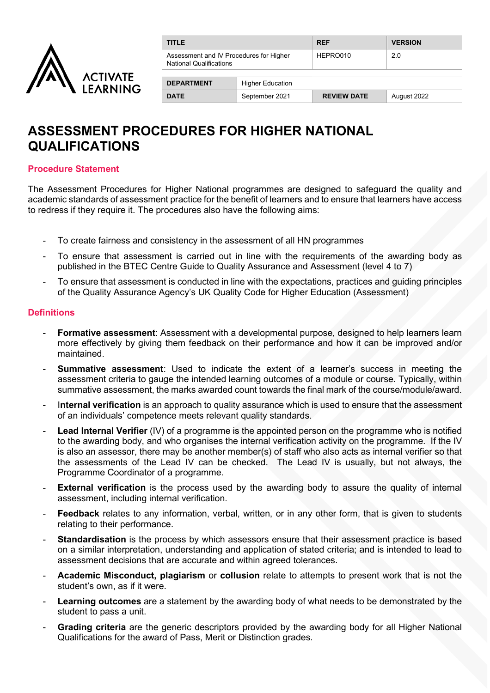

| <b>TITLE</b>                                                              |                         | <b>REF</b>         | <b>VERSION</b> |  |  |
|---------------------------------------------------------------------------|-------------------------|--------------------|----------------|--|--|
| Assessment and IV Procedures for Higher<br><b>National Qualifications</b> |                         | HEPRO010           | 2.0            |  |  |
| <b>DEPARTMENT</b>                                                         | <b>Higher Education</b> |                    |                |  |  |
| <b>DATE</b>                                                               | September 2021          | <b>REVIEW DATE</b> | August 2022    |  |  |

# **ASSESSMENT PROCEDURES FOR HIGHER NATIONAL QUALIFICATIONS**

### **Procedure Statement**

The Assessment Procedures for Higher National programmes are designed to safeguard the quality and academic standards of assessment practice for the benefit of learners and to ensure that learners have access to redress if they require it. The procedures also have the following aims:

- To create fairness and consistency in the assessment of all HN programmes
- To ensure that assessment is carried out in line with the requirements of the awarding body as published in the BTEC Centre Guide to Quality Assurance and Assessment (level 4 to 7)
- To ensure that assessment is conducted in line with the expectations, practices and guiding principles of the Quality Assurance Agency's UK Quality Code for Higher Education (Assessment)

### **Definitions**

- **Formative assessment**: Assessment with a developmental purpose, designed to help learners learn more effectively by giving them feedback on their performance and how it can be improved and/or maintained.
- **Summative assessment**: Used to indicate the extent of a learner's success in meeting the assessment criteria to gauge the intended learning outcomes of a module or course. Typically, within summative assessment, the marks awarded count towards the final mark of the course/module/award.
- I**nternal verification** is an approach to quality assurance which is used to ensure that the assessment of an individuals' competence meets relevant quality standards.
- **Lead Internal Verifier** (IV) of a programme is the appointed person on the programme who is notified to the awarding body, and who organises the internal verification activity on the programme. If the IV is also an assessor, there may be another member(s) of staff who also acts as internal verifier so that the assessments of the Lead IV can be checked. The Lead IV is usually, but not always, the Programme Coordinator of a programme.
- **External verification** is the process used by the awarding body to assure the quality of internal assessment, including internal verification.
- **Feedback** relates to any information, verbal, written, or in any other form, that is given to students relating to their performance.
- **Standardisation** is the process by which assessors ensure that their assessment practice is based on a similar interpretation, understanding and application of stated criteria; and is intended to lead to assessment decisions that are accurate and within agreed tolerances.
- **Academic Misconduct, plagiarism** or **collusion** relate to attempts to present work that is not the student's own, as if it were.
- **Learning outcomes** are a statement by the awarding body of what needs to be demonstrated by the student to pass a unit.
- **Grading criteria** are the generic descriptors provided by the awarding body for all Higher National Qualifications for the award of Pass, Merit or Distinction grades.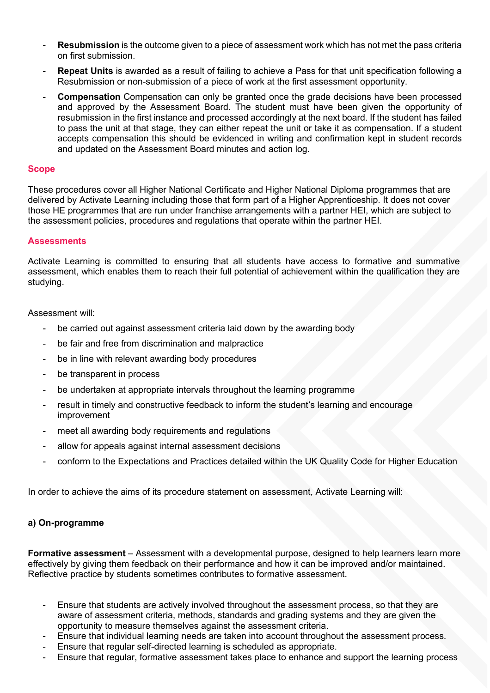- **Resubmission** is the outcome given to a piece of assessment work which has not met the pass criteria on first submission.
- **Repeat Units** is awarded as a result of failing to achieve a Pass for that unit specification following a Resubmission or non-submission of a piece of work at the first assessment opportunity.
- **Compensation** Compensation can only be granted once the grade decisions have been processed and approved by the Assessment Board. The student must have been given the opportunity of resubmission in the first instance and processed accordingly at the next board. If the student has failed to pass the unit at that stage, they can either repeat the unit or take it as compensation. If a student accepts compensation this should be evidenced in writing and confirmation kept in student records and updated on the Assessment Board minutes and action log.

### **Scope**

These procedures cover all Higher National Certificate and Higher National Diploma programmes that are delivered by Activate Learning including those that form part of a Higher Apprenticeship. It does not cover those HE programmes that are run under franchise arrangements with a partner HEI, which are subject to the assessment policies, procedures and regulations that operate within the partner HEI.

### **Assessments**

Activate Learning is committed to ensuring that all students have access to formative and summative assessment, which enables them to reach their full potential of achievement within the qualification they are studying.

Assessment will:

- be carried out against assessment criteria laid down by the awarding body
- be fair and free from discrimination and malpractice
- be in line with relevant awarding body procedures
- be transparent in process
- be undertaken at appropriate intervals throughout the learning programme
- result in timely and constructive feedback to inform the student's learning and encourage improvement
- meet all awarding body requirements and regulations
- allow for appeals against internal assessment decisions
- conform to the Expectations and Practices detailed within the UK Quality Code for Higher Education

In order to achieve the aims of its procedure statement on assessment, Activate Learning will:

### **a) On-programme**

**Formative assessment** – Assessment with a developmental purpose, designed to help learners learn more effectively by giving them feedback on their performance and how it can be improved and/or maintained. Reflective practice by students sometimes contributes to formative assessment.

- Ensure that students are actively involved throughout the assessment process, so that they are aware of assessment criteria, methods, standards and grading systems and they are given the opportunity to measure themselves against the assessment criteria.
- Ensure that individual learning needs are taken into account throughout the assessment process.
- Ensure that regular self-directed learning is scheduled as appropriate.
- Ensure that regular, formative assessment takes place to enhance and support the learning process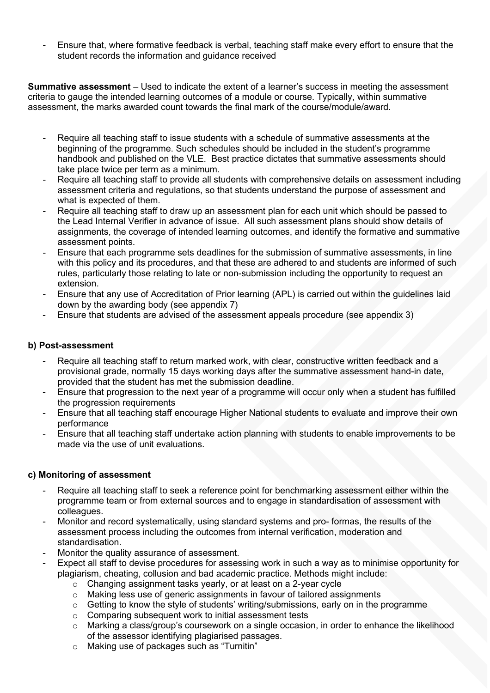Ensure that, where formative feedback is verbal, teaching staff make every effort to ensure that the student records the information and guidance received

**Summative assessment** – Used to indicate the extent of a learner's success in meeting the assessment criteria to gauge the intended learning outcomes of a module or course. Typically, within summative assessment, the marks awarded count towards the final mark of the course/module/award.

- Require all teaching staff to issue students with a schedule of summative assessments at the beginning of the programme. Such schedules should be included in the student's programme handbook and published on the VLE. Best practice dictates that summative assessments should take place twice per term as a minimum.
- Require all teaching staff to provide all students with comprehensive details on assessment including assessment criteria and regulations, so that students understand the purpose of assessment and what is expected of them.
- Require all teaching staff to draw up an assessment plan for each unit which should be passed to the Lead Internal Verifier in advance of issue. All such assessment plans should show details of assignments, the coverage of intended learning outcomes, and identify the formative and summative assessment points.
- Ensure that each programme sets deadlines for the submission of summative assessments, in line with this policy and its procedures, and that these are adhered to and students are informed of such rules, particularly those relating to late or non-submission including the opportunity to request an extension.
- Ensure that any use of Accreditation of Prior learning (APL) is carried out within the guidelines laid down by the awarding body (see appendix 7)
- Ensure that students are advised of the assessment appeals procedure (see appendix 3)

# **b) Post-assessment**

- Require all teaching staff to return marked work, with clear, constructive written feedback and a provisional grade, normally 15 days working days after the summative assessment hand-in date, provided that the student has met the submission deadline.
- Ensure that progression to the next year of a programme will occur only when a student has fulfilled the progression requirements
- Ensure that all teaching staff encourage Higher National students to evaluate and improve their own performance
- Ensure that all teaching staff undertake action planning with students to enable improvements to be made via the use of unit evaluations.

### **c) Monitoring of assessment**

- Require all teaching staff to seek a reference point for benchmarking assessment either within the programme team or from external sources and to engage in standardisation of assessment with colleagues.
- Monitor and record systematically, using standard systems and pro- formas, the results of the assessment process including the outcomes from internal verification, moderation and standardisation.
- Monitor the quality assurance of assessment.
- Expect all staff to devise procedures for assessing work in such a way as to minimise opportunity for plagiarism, cheating, collusion and bad academic practice. Methods might include:
	- o Changing assignment tasks yearly, or at least on a 2-year cycle
	- o Making less use of generic assignments in favour of tailored assignments
	- o Getting to know the style of students' writing/submissions, early on in the programme
	- o Comparing subsequent work to initial assessment tests
	- $\circ$  Marking a class/group's coursework on a single occasion, in order to enhance the likelihood of the assessor identifying plagiarised passages.
	- o Making use of packages such as "Turnitin"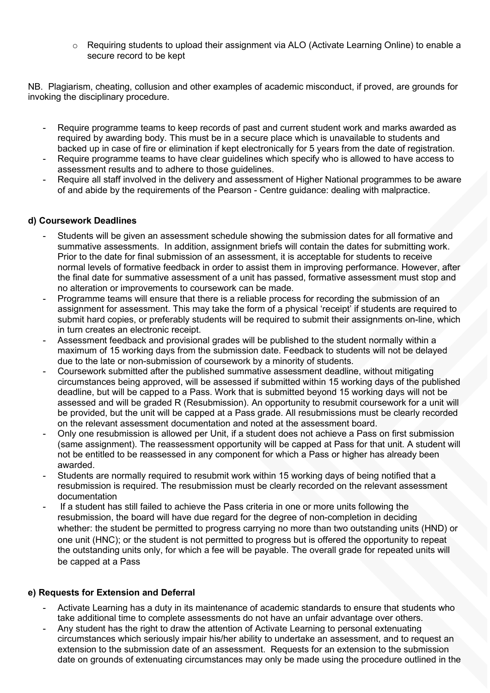$\circ$  Requiring students to upload their assignment via ALO (Activate Learning Online) to enable a secure record to be kept

NB. Plagiarism, cheating, collusion and other examples of academic misconduct, if proved, are grounds for invoking the disciplinary procedure.

- Require programme teams to keep records of past and current student work and marks awarded as required by awarding body. This must be in a secure place which is unavailable to students and backed up in case of fire or elimination if kept electronically for 5 years from the date of registration.
- Require programme teams to have clear guidelines which specify who is allowed to have access to assessment results and to adhere to those guidelines.
- Require all staff involved in the delivery and assessment of Higher National programmes to be aware of and abide by the requirements of the Pearson - Centre guidance: dealing with malpractice.

### **d) Coursework Deadlines**

- Students will be given an assessment schedule showing the submission dates for all formative and summative assessments. In addition, assignment briefs will contain the dates for submitting work. Prior to the date for final submission of an assessment, it is acceptable for students to receive normal levels of formative feedback in order to assist them in improving performance. However, after the final date for summative assessment of a unit has passed, formative assessment must stop and no alteration or improvements to coursework can be made.
- Programme teams will ensure that there is a reliable process for recording the submission of an assignment for assessment. This may take the form of a physical 'receipt' if students are required to submit hard copies, or preferably students will be required to submit their assignments on-line, which in turn creates an electronic receipt.
- Assessment feedback and provisional grades will be published to the student normally within a maximum of 15 working days from the submission date. Feedback to students will not be delayed due to the late or non-submission of coursework by a minority of students.
- Coursework submitted after the published summative assessment deadline, without mitigating circumstances being approved, will be assessed if submitted within 15 working days of the published deadline, but will be capped to a Pass. Work that is submitted beyond 15 working days will not be assessed and will be graded R (Resubmission). An opportunity to resubmit coursework for a unit will be provided, but the unit will be capped at a Pass grade. All resubmissions must be clearly recorded on the relevant assessment documentation and noted at the assessment board.
- Only one resubmission is allowed per Unit, if a student does not achieve a Pass on first submission (same assignment). The reassessment opportunity will be capped at Pass for that unit. A student will not be entitled to be reassessed in any component for which a Pass or higher has already been awarded.
- Students are normally required to resubmit work within 15 working days of being notified that a resubmission is required. The resubmission must be clearly recorded on the relevant assessment documentation
- If a student has still failed to achieve the Pass criteria in one or more units following the resubmission, the board will have due regard for the degree of non-completion in deciding whether: the student be permitted to progress carrying no more than two outstanding units (HND) or one unit (HNC); or the student is not permitted to progress but is offered the opportunity to repeat the outstanding units only, for which a fee will be payable. The overall grade for repeated units will be capped at a Pass

# **e) Requests for Extension and Deferral**

- Activate Learning has a duty in its maintenance of academic standards to ensure that students who take additional time to complete assessments do not have an unfair advantage over others.
- Any student has the right to draw the attention of Activate Learning to personal extenuating circumstances which seriously impair his/her ability to undertake an assessment, and to request an extension to the submission date of an assessment. Requests for an extension to the submission date on grounds of extenuating circumstances may only be made using the procedure outlined in the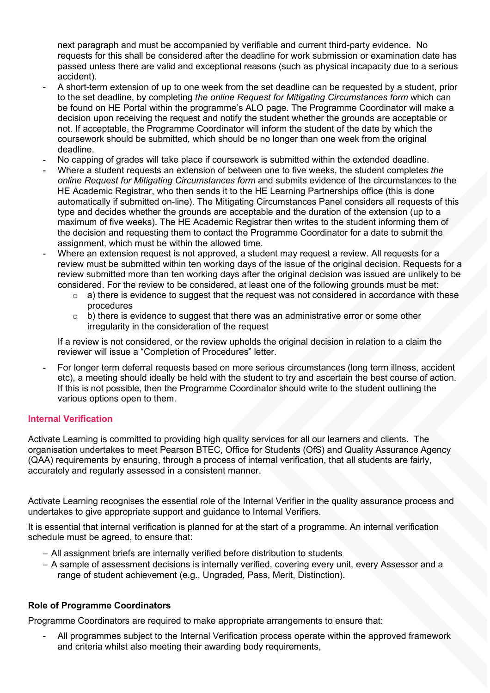next paragraph and must be accompanied by verifiable and current third-party evidence. No requests for this shall be considered after the deadline for work submission or examination date has passed unless there are valid and exceptional reasons (such as physical incapacity due to a serious accident).

- A short-term extension of up to one week from the set deadline can be requested by a student, prior to the set deadline, by completing *the online Request for Mitigating Circumstances form* which can be found on HE Portal within the programme's ALO page. The Programme Coordinator will make a decision upon receiving the request and notify the student whether the grounds are acceptable or not. If acceptable, the Programme Coordinator will inform the student of the date by which the coursework should be submitted, which should be no longer than one week from the original deadline.
- No capping of grades will take place if coursework is submitted within the extended deadline.
- Where a student requests an extension of between one to five weeks, the student completes *the online Request for Mitigating Circumstances form* and submits evidence of the circumstances to the HE Academic Registrar, who then sends it to the HE Learning Partnerships office (this is done automatically if submitted on-line). The Mitigating Circumstances Panel considers all requests of this type and decides whether the grounds are acceptable and the duration of the extension (up to a maximum of five weeks). The HE Academic Registrar then writes to the student informing them of the decision and requesting them to contact the Programme Coordinator for a date to submit the assignment, which must be within the allowed time.
- Where an extension request is not approved, a student may request a review. All requests for a review must be submitted within ten working days of the issue of the original decision. Requests for a review submitted more than ten working days after the original decision was issued are unlikely to be considered. For the review to be considered, at least one of the following grounds must be met:
	- $\circ$  a) there is evidence to suggest that the request was not considered in accordance with these procedures
	- $\circ$  b) there is evidence to suggest that there was an administrative error or some other irregularity in the consideration of the request

If a review is not considered, or the review upholds the original decision in relation to a claim the reviewer will issue a "Completion of Procedures" letter.

- For longer term deferral requests based on more serious circumstances (long term illness, accident etc), a meeting should ideally be held with the student to try and ascertain the best course of action. If this is not possible, then the Programme Coordinator should write to the student outlining the various options open to them.

# **Internal Verification**

Activate Learning is committed to providing high quality services for all our learners and clients. The organisation undertakes to meet Pearson BTEC, Office for Students (OfS) and Quality Assurance Agency (QAA) requirements by ensuring, through a process of internal verification, that all students are fairly, accurately and regularly assessed in a consistent manner.

Activate Learning recognises the essential role of the Internal Verifier in the quality assurance process and undertakes to give appropriate support and guidance to Internal Verifiers.

It is essential that internal verification is planned for at the start of a programme. An internal verification schedule must be agreed, to ensure that:

- − All assignment briefs are internally verified before distribution to students
- − A sample of assessment decisions is internally verified, covering every unit, every Assessor and a range of student achievement (e.g., Ungraded, Pass, Merit, Distinction).

### **Role of Programme Coordinators**

Programme Coordinators are required to make appropriate arrangements to ensure that:

All programmes subject to the Internal Verification process operate within the approved framework and criteria whilst also meeting their awarding body requirements,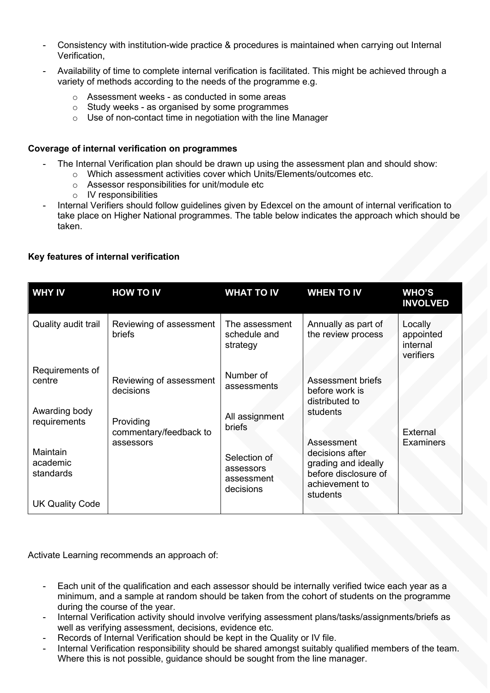- Consistency with institution-wide practice & procedures is maintained when carrying out Internal Verification,
- Availability of time to complete internal verification is facilitated. This might be achieved through a variety of methods according to the needs of the programme e.g.
	- o Assessment weeks as conducted in some areas
	- o Study weeks as organised by some programmes
	- o Use of non-contact time in negotiation with the line Manager

# **Coverage of internal verification on programmes**

- The Internal Verification plan should be drawn up using the assessment plan and should show:
	- o Which assessment activities cover which Units/Elements/outcomes etc.
	- o Assessor responsibilities for unit/module etc
	- o IV responsibilities
- Internal Verifiers should follow guidelines given by Edexcel on the amount of internal verification to take place on Higher National programmes. The table below indicates the approach which should be taken.

# **Key features of internal verification**

| <b>WHY IV</b>                     | <b>HOW TO IV</b>                                 | <b>WHAT TO IV</b>                                    | <b>WHEN TO IV</b>                                                                            | <b>WHO'S</b><br><b>INVOLVED</b>               |
|-----------------------------------|--------------------------------------------------|------------------------------------------------------|----------------------------------------------------------------------------------------------|-----------------------------------------------|
| Quality audit trail               | Reviewing of assessment<br><b>briefs</b>         | The assessment<br>schedule and<br>strategy           | Annually as part of<br>the review process                                                    | Locally<br>appointed<br>internal<br>verifiers |
| Requirements of<br>centre         | Reviewing of assessment<br>decisions             | Number of<br>assessments                             | <b>Assessment briefs</b><br>before work is<br>distributed to                                 |                                               |
| Awarding body<br>requirements     | Providing<br>commentary/feedback to<br>assessors | All assignment<br><b>briefs</b>                      | students<br>Assessment                                                                       | External<br><b>Examiners</b>                  |
| Maintain<br>academic<br>standards |                                                  | Selection of<br>assessors<br>assessment<br>decisions | decisions after<br>grading and ideally<br>before disclosure of<br>achievement to<br>students |                                               |
| <b>UK Quality Code</b>            |                                                  |                                                      |                                                                                              |                                               |

Activate Learning recommends an approach of:

- Each unit of the qualification and each assessor should be internally verified twice each year as a minimum, and a sample at random should be taken from the cohort of students on the programme during the course of the year.
- Internal Verification activity should involve verifying assessment plans/tasks/assignments/briefs as well as verifying assessment, decisions, evidence etc.
- Records of Internal Verification should be kept in the Quality or IV file.
- Internal Verification responsibility should be shared amongst suitably qualified members of the team. Where this is not possible, guidance should be sought from the line manager.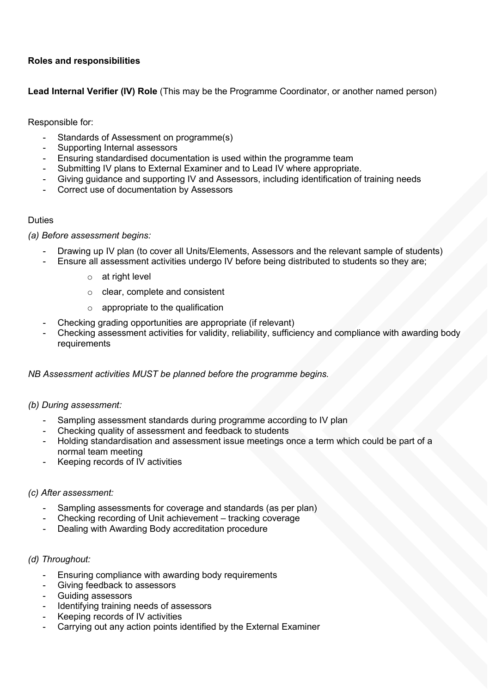# **Roles and responsibilities**

**Lead Internal Verifier (IV) Role** (This may be the Programme Coordinator, or another named person)

Responsible for:

- Standards of Assessment on programme(s)
- Supporting Internal assessors
- Ensuring standardised documentation is used within the programme team
- Submitting IV plans to External Examiner and to Lead IV where appropriate.
- Giving guidance and supporting IV and Assessors, including identification of training needs
- Correct use of documentation by Assessors

# Duties

# *(a) Before assessment begins:*

- Drawing up IV plan (to cover all Units/Elements, Assessors and the relevant sample of students)
- Ensure all assessment activities undergo IV before being distributed to students so they are;
	- o at right level
	- o clear, complete and consistent
	- $\circ$  appropriate to the qualification
- Checking grading opportunities are appropriate (if relevant)
- Checking assessment activities for validity, reliability, sufficiency and compliance with awarding body requirements

### *NB Assessment activities MUST be planned before the programme begins.*

### *(b) During assessment:*

- Sampling assessment standards during programme according to IV plan
- Checking quality of assessment and feedback to students
- Holding standardisation and assessment issue meetings once a term which could be part of a normal team meeting
- Keeping records of IV activities

### *(c) After assessment:*

- Sampling assessments for coverage and standards (as per plan)
- Checking recording of Unit achievement tracking coverage
- Dealing with Awarding Body accreditation procedure

### *(d) Throughout:*

- Ensuring compliance with awarding body requirements
- Giving feedback to assessors
- Guiding assessors
- Identifying training needs of assessors
- Keeping records of IV activities
- Carrying out any action points identified by the External Examiner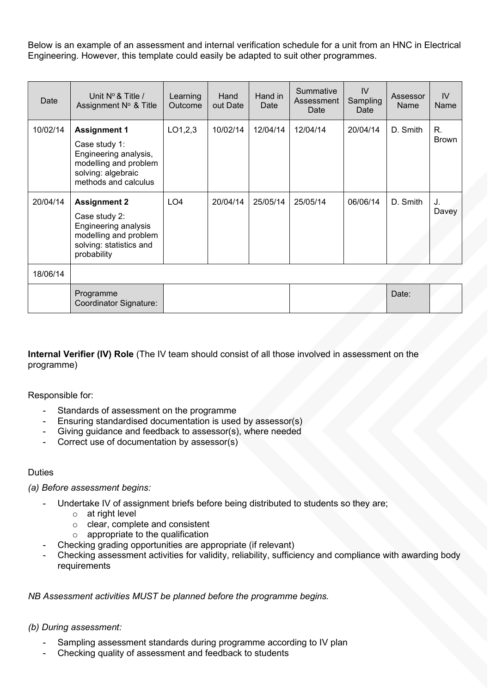Below is an example of an assessment and internal verification schedule for a unit from an HNC in Electrical Engineering. However, this template could easily be adapted to suit other programmes.

| Date     | Unit $N^{\circ}$ & Title /<br>Assignment N° & Title                                                                                  | Learning<br>Outcome | Hand<br>out Date | Hand in<br>Date | Summative<br>Assessment<br>Date | IV<br>Sampling<br>Date | Assessor<br><b>Name</b> | IV<br>Name  |
|----------|--------------------------------------------------------------------------------------------------------------------------------------|---------------------|------------------|-----------------|---------------------------------|------------------------|-------------------------|-------------|
| 10/02/14 | <b>Assignment 1</b><br>Case study 1:<br>Engineering analysis,<br>modelling and problem<br>solving: algebraic<br>methods and calculus | LO1,2,3             | 10/02/14         | 12/04/14        | 12/04/14                        | 20/04/14               | D. Smith                | R.<br>Brown |
| 20/04/14 | <b>Assignment 2</b><br>Case study 2:<br>Engineering analysis<br>modelling and problem<br>solving: statistics and<br>probability      | LO <sub>4</sub>     | 20/04/14         | 25/05/14        | 25/05/14                        | 06/06/14               | D. Smith                | J.<br>Davey |
| 18/06/14 |                                                                                                                                      |                     |                  |                 |                                 |                        |                         |             |
|          | Programme                                                                                                                            |                     |                  |                 |                                 |                        | Date:                   |             |

**Internal Verifier (IV) Role** (The IV team should consist of all those involved in assessment on the

programme)

Responsible for:

Standards of assessment on the programme

Coordinator Signature:

- Ensuring standardised documentation is used by assessor(s)
- Giving guidance and feedback to assessor(s), where needed
- Correct use of documentation by assessor(s)

### **Duties**

### *(a) Before assessment begins:*

- Undertake IV of assignment briefs before being distributed to students so they are;
	- o at right level
	- o clear, complete and consistent
	- $\circ$  appropriate to the qualification
	- Checking grading opportunities are appropriate (if relevant)
- Checking assessment activities for validity, reliability, sufficiency and compliance with awarding body requirements

# *NB Assessment activities MUST be planned before the programme begins.*

### *(b) During assessment:*

- Sampling assessment standards during programme according to IV plan
- Checking quality of assessment and feedback to students